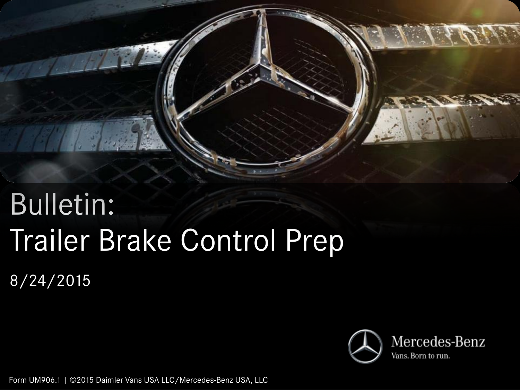

# Bulletin: Trailer Brake Control Prep

8/24/2015



Form UM906.1 | ©2015 Daimler Vans USA LLC/Mercedes-Benz USA, LLC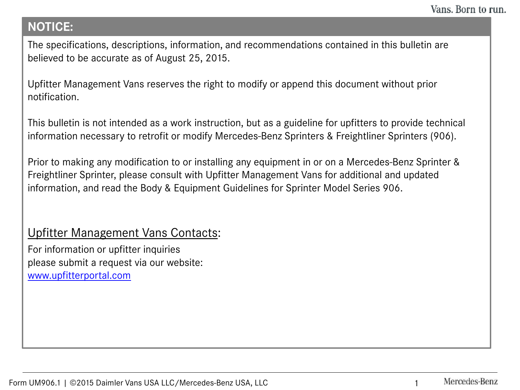## **NOTICE:**

The specifications, descriptions, information, and recommendations contained in this bulletin are believed to be accurate as of August 25, 2015.

Upfitter Management Vans reserves the right to modify or append this document without prior notification.

This bulletin is not intended as a work instruction, but as a guideline for upfitters to provide technical information necessary to retrofit or modify Mercedes-Benz Sprinters & Freightliner Sprinters (906).

Prior to making any modification to or installing any equipment in or on a Mercedes-Benz Sprinter & Freightliner Sprinter, please consult with Upfitter Management Vans for additional and updated information, and read the Body & Equipment Guidelines for Sprinter Model Series 906.

## Upfitter Management Vans Contacts:

For information or upfitter inquiries please submit a request via our website: [www.upfitterportal.com](http://www.upfitterportalcom/)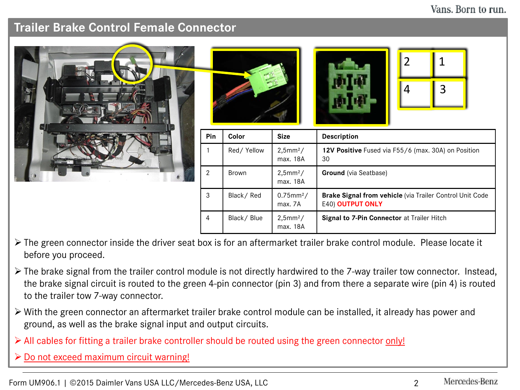#### Vans. Born to run.

## **Trailer Brake Control Female Connector**

|  |                |            |                                     | 2<br>3<br>4                                                                  |
|--|----------------|------------|-------------------------------------|------------------------------------------------------------------------------|
|  | Pin            | Color      | <b>Size</b>                         | Description                                                                  |
|  |                | Red/Yellow | 2,5mm <sup>2</sup> /<br>max. 18A    | 12V Positive Fused via F55/6 (max. 30A) on Position<br>30                    |
|  | $\overline{2}$ | Brown      | 2,5mm <sup>2</sup> /<br>max. 18A    | Ground (via Seatbase)                                                        |
|  | 3              | Black/Red  | $0.75$ mm <sup>2</sup> /<br>max. 7A | Brake Signal from vehicle (via Trailer Control Unit Code<br>E40) OUTPUT ONLY |
|  | 4              | Black/Blue | 2,5mm <sup>2</sup> /<br>max. 18A    | Signal to 7-Pin Connector at Trailer Hitch                                   |

- The green connector inside the driver seat box is for an aftermarket trailer brake control module. Please locate it before you proceed.
- $\triangleright$  The brake signal from the trailer control module is not directly hardwired to the 7-way trailer tow connector. Instead, the brake signal circuit is routed to the green 4-pin connector (pin 3) and from there a separate wire (pin 4) is routed to the trailer tow 7-way connector.
- With the green connector an aftermarket trailer brake control module can be installed, it already has power and ground, as well as the brake signal input and output circuits.
- All cables for fitting a trailer brake controller should be routed using the green connector only!
- $\triangleright$  Do not exceed maximum circuit warning!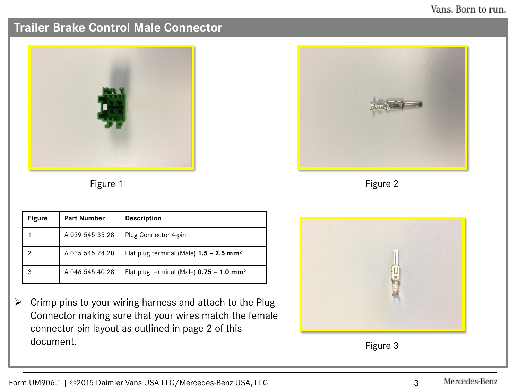### Vans. Born to run.

# **Trailer Brake Control Male Connector**



Figure 1

| <b>Figure</b> | <b>Part Number</b> | <b>Description</b>                                     |
|---------------|--------------------|--------------------------------------------------------|
|               | A 039 545 35 28    | Plug Connector 4-pin                                   |
| 2             | A 035 545 74 28    | Flat plug terminal (Male) $1.5 - 2.5$ mm <sup>2</sup>  |
|               | A 046 545 40 28    | Flat plug terminal (Male) $0.75 - 1.0$ mm <sup>2</sup> |

 $\triangleright$  Crimp pins to your wiring harness and attach to the Plug Connector making sure that your wires match the female connector pin layout as outlined in page 2 of this document.



Figure 2